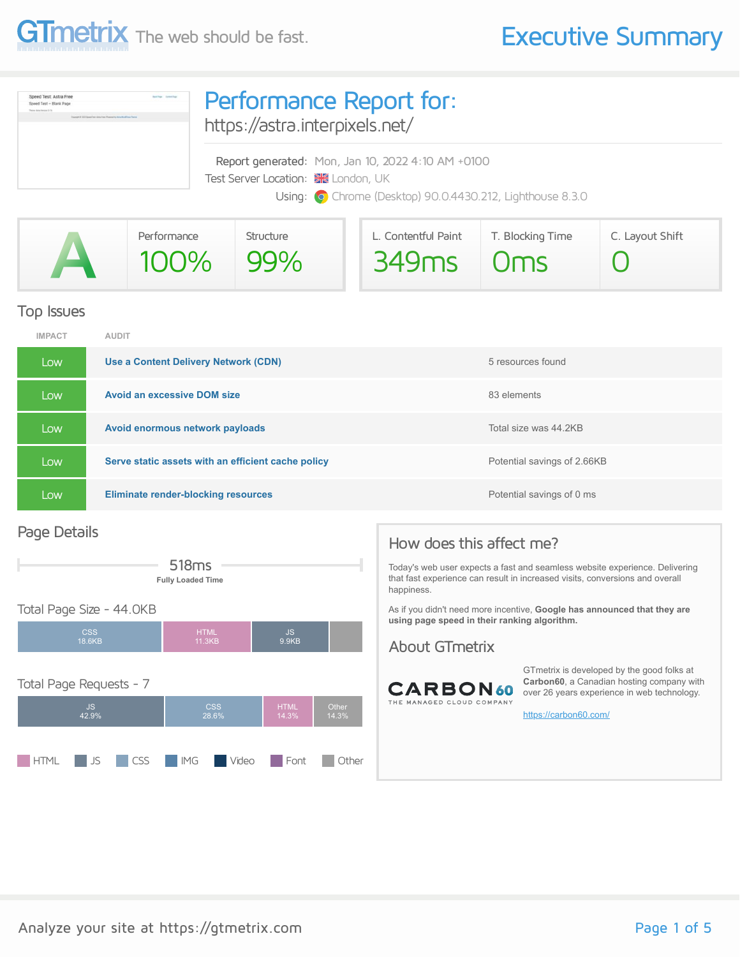

| Speed Test: Astra Free<br>Speed Test - Blank Page<br>Theorem Autor Herminel & F.A.<br>Statement # 2003 Street Town Area Print (Progress) by Arthur Workfloor Theme | Performance Report for:<br>https://astra.interpixels.net/                                                                                            |
|--------------------------------------------------------------------------------------------------------------------------------------------------------------------|------------------------------------------------------------------------------------------------------------------------------------------------------|
|                                                                                                                                                                    | Report generated: Mon, Jan 10, 2022 4:10 AM +0100<br>Test Server Location: X London, UK<br>Using: O Chrome (Desktop) 90.0.4430.212, Lighthouse 8.3.0 |

| Performance | Structure | L. Contentful Paint | T. Blocking Time | C. Layout Shift |
|-------------|-----------|---------------------|------------------|-----------------|
| $100\%$     | 99%       | 349ms Oms           |                  |                 |

#### Top Issues

| <b>IMPACT</b> | <b>AUDIT</b>                                       |                             |
|---------------|----------------------------------------------------|-----------------------------|
| Low           | Use a Content Delivery Network (CDN)               | 5 resources found           |
| Low           | <b>Avoid an excessive DOM size</b>                 | 83 elements                 |
| Low           | Avoid enormous network payloads                    | Total size was 44.2KB       |
| Low           | Serve static assets with an efficient cache policy | Potential savings of 2.66KB |
| Low           | <b>Eliminate render-blocking resources</b>         | Potential savings of 0 ms   |

#### Page Details



#### Total Page Size - 44.0KB CSS 18.6KB HTML 11.3KB JS 9.9KB Total Page Requests - 7 JS 42.9% CSS 28.6% HTML 14.3% Other 14.3%

**HTML** JS CSS IMG Video Font Other

#### How does this affect me?

Today's web user expects a fast and seamless website experience. Delivering that fast experience can result in increased visits, conversions and overall happiness.

As if you didn't need more incentive, **Google has announced that they are using page speed in their ranking algorithm.**

#### About GTmetrix



GTmetrix is developed by the good folks at **Carbon60**, a Canadian hosting company with over 26 years experience in web technology.

<https://carbon60.com/>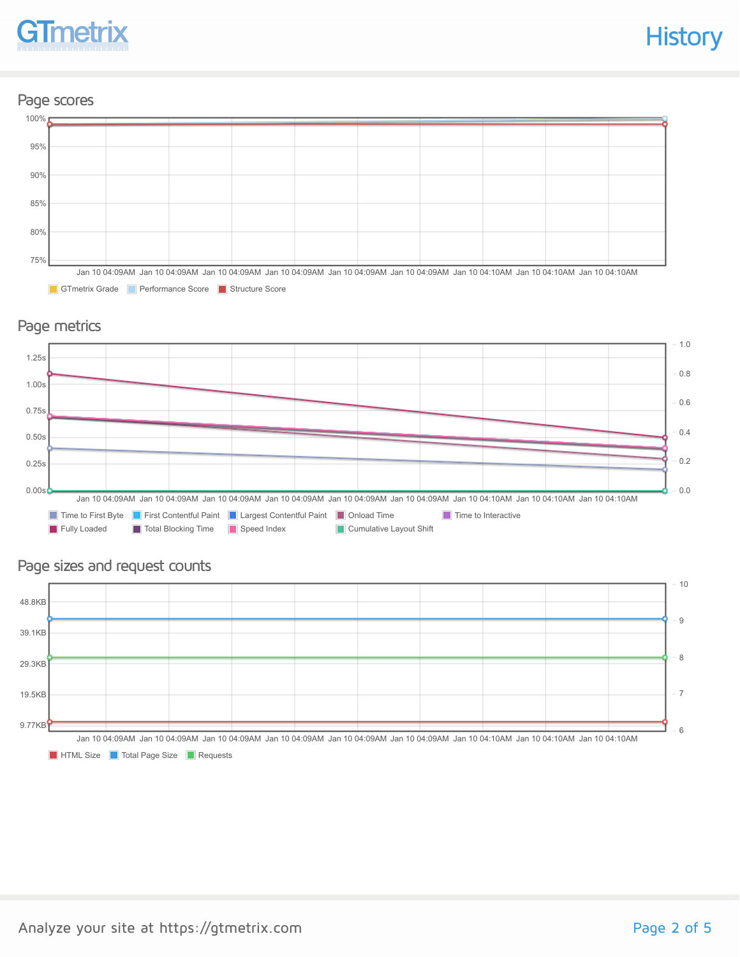

#### Page scores



GTmetrix Grade Performance Score Structure Score

#### Page metrics



#### Page sizes and request counts



**HTML Size Total Page Size The Requests**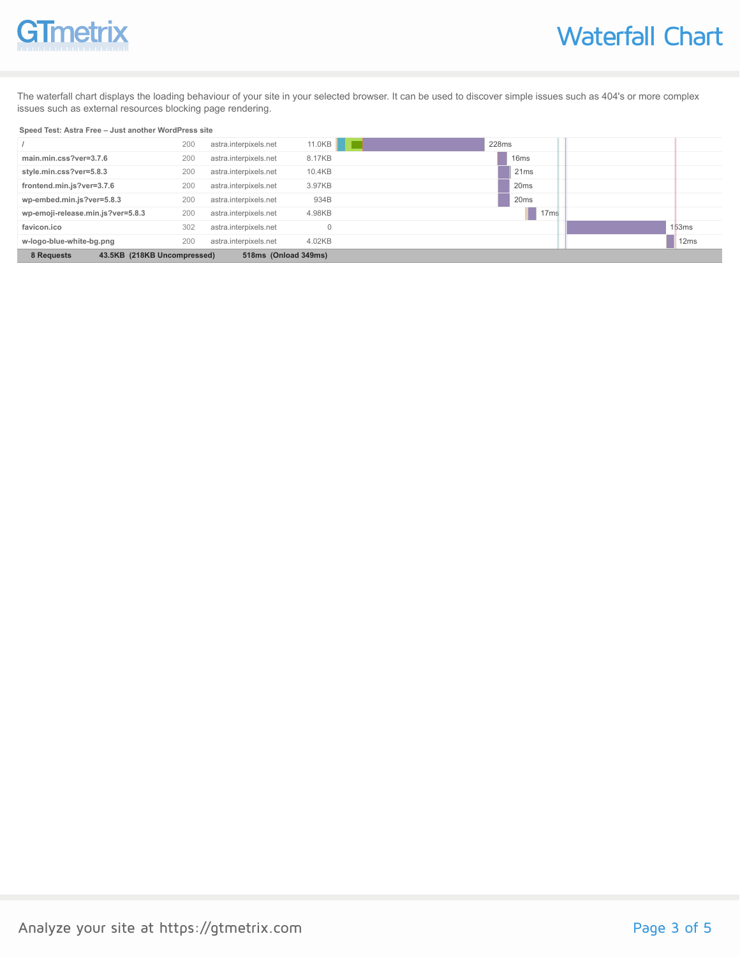

The waterfall chart displays the loading behaviour of your site in your selected browser. It can be used to discover simple issues such as 404's or more complex issues such as external resources blocking page rendering.

#### **Speed Test: Astra Free – Just another WordPress site**

|                                           | 200 | astra.interpixels.net | 11.0KB               | 228ms            |                  |
|-------------------------------------------|-----|-----------------------|----------------------|------------------|------------------|
| main.min.css?ver=3.7.6                    | 200 | astra.interpixels.net | 8.17KB               | 16 <sub>ms</sub> |                  |
| style.min.css?ver=5.8.3                   | 200 | astra.interpixels.net | 10.4KB               | 21ms             |                  |
| frontend.min.js?ver=3.7.6                 | 200 | astra.interpixels.net | 3.97KB               | 20 <sub>ms</sub> |                  |
| wp-embed.min.js?ver=5.8.3                 | 200 | astra.interpixels.net | 934B                 | 20ms             |                  |
| wp-emoji-release.min.js?ver=5.8.3         | 200 | astra.interpixels.net | 4.98KB               | 17 <sub>ms</sub> |                  |
| favicon.ico                               | 302 | astra.interpixels.net |                      |                  | 153ms            |
| w-logo-blue-white-bg.png                  | 200 | astra.interpixels.net | 4.02KB               |                  | 12 <sub>ms</sub> |
| 43.5KB (218KB Uncompressed)<br>8 Requests |     |                       | 518ms (Onload 349ms) |                  |                  |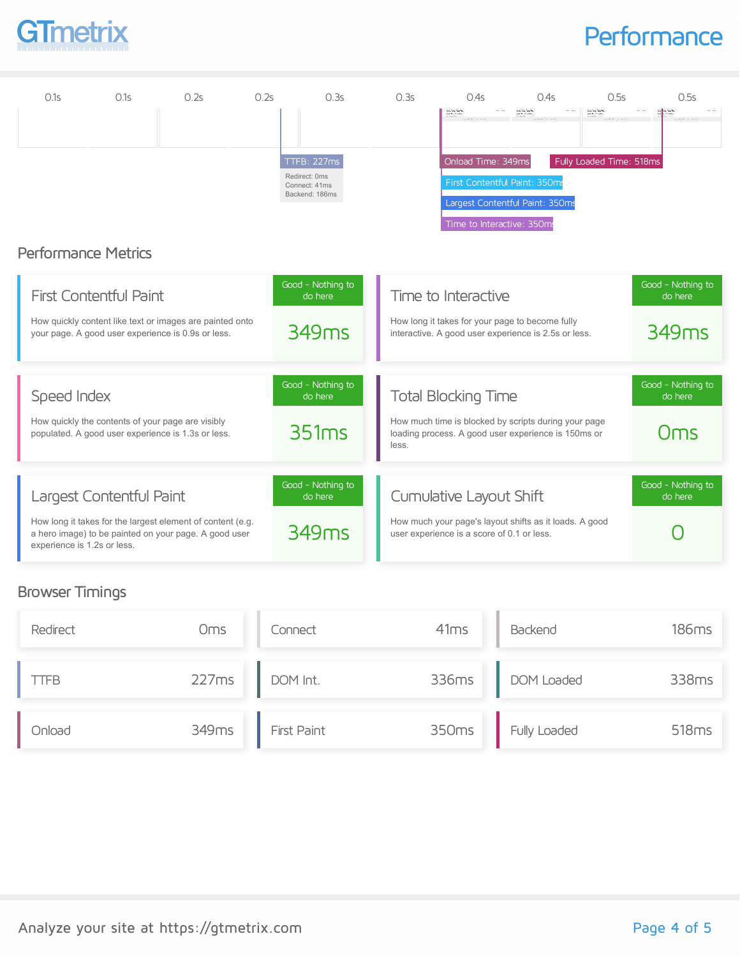

## **Performance**

| 0.1s                        | 0.1s                                                                                                                                            | 0.2s | 0.2s | 0.3s                                                            | 0.3s  | 0.4s                                                                  | 0.4s                                                                                                        | 0.5s                                                              | 0.5s                                              |
|-----------------------------|-------------------------------------------------------------------------------------------------------------------------------------------------|------|------|-----------------------------------------------------------------|-------|-----------------------------------------------------------------------|-------------------------------------------------------------------------------------------------------------|-------------------------------------------------------------------|---------------------------------------------------|
|                             | <b>Performance Metrics</b>                                                                                                                      |      |      | TTFB: 227ms<br>Redirect: 0ms<br>Connect: 41ms<br>Backend: 186ms |       | Long Tay Take for<br>Onload Time: 349ms<br>Time to Interactive: 350ms | Long Tele Take Net<br>First Contentful Paint: 350ms<br>Largest Contentful Paint: 350ms                      | Louis Sea Saladin.<br>Agusta contaean<br>Fully Loaded Time: 518ms |                                                   |
|                             | <b>First Contentful Paint</b><br>How quickly content like text or images are painted onto<br>your page. A good user experience is 0.9s or less. |      |      | Good - Nothing to<br>do here<br>349 <sub>ms</sub>               |       | Time to Interactive                                                   | How long it takes for your page to become fully<br>interactive. A good user experience is 2.5s or less.     |                                                                   | Good - Nothing to<br>do here<br>349 <sub>ms</sub> |
| Speed Index                 | How quickly the contents of your page are visibly<br>populated. A good user experience is 1.3s or less.                                         |      |      | Good - Nothing to<br>do here<br>351ms                           | less. | <b>Total Blocking Time</b>                                            | How much time is blocked by scripts during your page<br>loading process. A good user experience is 150ms or |                                                                   | Good - Nothing to<br>do here<br>Oms               |
| experience is 1.2s or less. | Largest Contentful Paint<br>How long it takes for the largest element of content (e.g.<br>a hero image) to be painted on your page. A good user |      |      | Good - Nothing to<br>do here<br>349 <sub>ms</sub>               |       | Cumulative Layout Shift<br>user experience is a score of 0.1 or less. | How much your page's layout shifts as it loads. A good                                                      |                                                                   | Good - Nothing to<br>do here                      |

### Browser Timings

| Redirect      | <b>Oms</b> | Connect     | 41ms  | Backend      | 186ms             |
|---------------|------------|-------------|-------|--------------|-------------------|
| TFB           | 227ms      | DOM Int.    | 336ms | DOM Loaded   | 338ms             |
| <b>b</b> olnC | 349ms      | First Paint | 350ms | Fully Loaded | 518 <sub>ms</sub> |